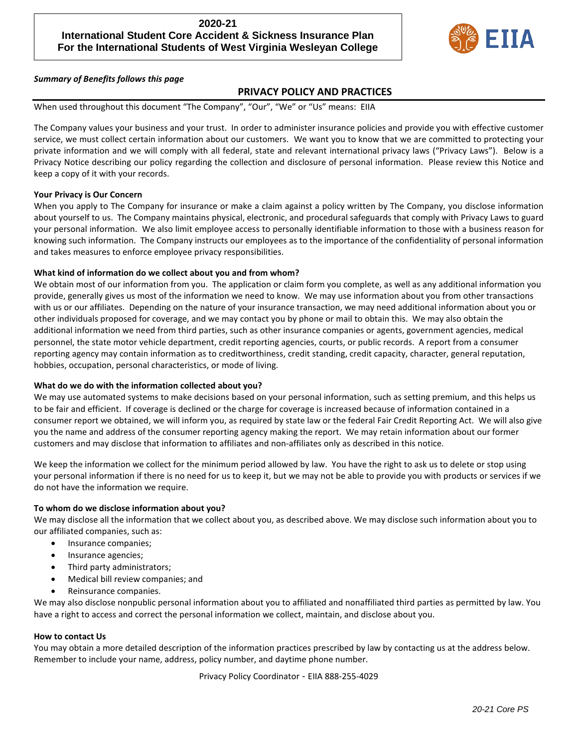# **2020-21 International Student Core Accident & Sickness Insurance Plan For the International Students of West Virginia Wesleyan College**



### *Summary of Benefits follows this page*

### **PRIVACY POLICY AND PRACTICES**

When used throughout this document "The Company", "Our", "We" or "Us" means: EIIA

The Company values your business and your trust. In order to administer insurance policies and provide you with effective customer service, we must collect certain information about our customers. We want you to know that we are committed to protecting your private information and we will comply with all federal, state and relevant international privacy laws ("Privacy Laws"). Below is a Privacy Notice describing our policy regarding the collection and disclosure of personal information. Please review this Notice and keep a copy of it with your records.

#### **Your Privacy is Our Concern**

When you apply to The Company for insurance or make a claim against a policy written by The Company, you disclose information about yourself to us. The Company maintains physical, electronic, and procedural safeguards that comply with Privacy Laws to guard your personal information. We also limit employee access to personally identifiable information to those with a business reason for knowing such information. The Company instructs our employees as to the importance of the confidentiality of personal information and takes measures to enforce employee privacy responsibilities.

### **What kind of information do we collect about you and from whom?**

We obtain most of our information from you. The application or claim form you complete, as well as any additional information you provide, generally gives us most of the information we need to know. We may use information about you from other transactions with us or our affiliates. Depending on the nature of your insurance transaction, we may need additional information about you or other individuals proposed for coverage, and we may contact you by phone or mail to obtain this. We may also obtain the additional information we need from third parties, such as other insurance companies or agents, government agencies, medical personnel, the state motor vehicle department, credit reporting agencies, courts, or public records. A report from a consumer reporting agency may contain information as to creditworthiness, credit standing, credit capacity, character, general reputation, hobbies, occupation, personal characteristics, or mode of living.

#### **What do we do with the information collected about you?**

We may use automated systems to make decisions based on your personal information, such as setting premium, and this helps us to be fair and efficient. If coverage is declined or the charge for coverage is increased because of information contained in a consumer report we obtained, we will inform you, as required by state law or the federal Fair Credit Reporting Act. We will also give you the name and address of the consumer reporting agency making the report. We may retain information about our former customers and may disclose that information to affiliates and non-affiliates only as described in this notice.

We keep the information we collect for the minimum period allowed by law. You have the right to ask us to delete or stop using your personal information if there is no need for us to keep it, but we may not be able to provide you with products or services if we do not have the information we require.

#### **To whom do we disclose information about you?**

We may disclose all the information that we collect about you, as described above. We may disclose such information about you to our affiliated companies, such as:

- Insurance companies;
- Insurance agencies;
- Third party administrators;
- Medical bill review companies; and
- Reinsurance companies.

We may also disclose nonpublic personal information about you to affiliated and nonaffiliated third parties as permitted by law. You have a right to access and correct the personal information we collect, maintain, and disclose about you.

#### **How to contact Us**

You may obtain a more detailed description of the information practices prescribed by law by contacting us at the address below. Remember to include your name, address, policy number, and daytime phone number.

Privacy Policy Coordinator - EIIA 888-255-4029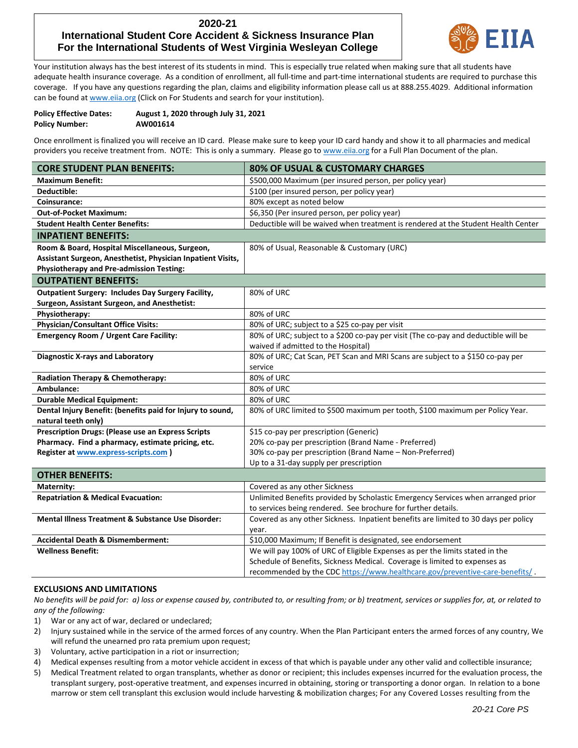# **2020-21 International Student Core Accident & Sickness Insurance Plan For the International Students of West Virginia Wesleyan College**



Your institution always has the best interest of its students in mind. This is especially true related when making sure that all students have adequate health insurance coverage. As a condition of enrollment, all full-time and part-time international students are required to purchase this coverage. If you have any questions regarding the plan, claims and eligibility information please call us at 888.255.4029. Additional information can be found at www.eija.org (Click on For Students and search for your institution).

| <b>Policy Effective Dates:</b> | August 1, 2020 through July 31, 2021 |
|--------------------------------|--------------------------------------|
| <b>Policy Number:</b>          | AW001614                             |

Once enrollment is finalized you will receive an ID card. Please make sure to keep your ID card handy and show it to all pharmacies and medical providers you receive treatment from. NOTE: This is only a summary. Please go t[o www.eiia.org](http://www.eiia.org/) for a Full Plan Document of the plan.

| <b>CORE STUDENT PLAN BENEFITS:</b>                            | 80% OF USUAL & CUSTOMARY CHARGES                                                    |
|---------------------------------------------------------------|-------------------------------------------------------------------------------------|
| <b>Maximum Benefit:</b>                                       | \$500,000 Maximum (per insured person, per policy year)                             |
| Deductible:                                                   | \$100 (per insured person, per policy year)                                         |
| Coinsurance:                                                  | 80% except as noted below                                                           |
| <b>Out-of-Pocket Maximum:</b>                                 | \$6,350 (Per insured person, per policy year)                                       |
| <b>Student Health Center Benefits:</b>                        | Deductible will be waived when treatment is rendered at the Student Health Center   |
| <b>INPATIENT BENEFITS:</b>                                    |                                                                                     |
| Room & Board, Hospital Miscellaneous, Surgeon,                | 80% of Usual, Reasonable & Customary (URC)                                          |
| Assistant Surgeon, Anesthetist, Physician Inpatient Visits,   |                                                                                     |
| <b>Physiotherapy and Pre-admission Testing:</b>               |                                                                                     |
| <b>OUTPATIENT BENEFITS:</b>                                   |                                                                                     |
| <b>Outpatient Surgery: Includes Day Surgery Facility,</b>     | 80% of URC                                                                          |
| Surgeon, Assistant Surgeon, and Anesthetist:                  |                                                                                     |
| Physiotherapy:                                                | 80% of URC                                                                          |
| <b>Physician/Consultant Office Visits:</b>                    | 80% of URC; subject to a \$25 co-pay per visit                                      |
| <b>Emergency Room / Urgent Care Facility:</b>                 | 80% of URC; subject to a \$200 co-pay per visit (The co-pay and deductible will be  |
|                                                               | waived if admitted to the Hospital)                                                 |
| <b>Diagnostic X-rays and Laboratory</b>                       | 80% of URC; Cat Scan, PET Scan and MRI Scans are subject to a \$150 co-pay per      |
|                                                               | service                                                                             |
| Radiation Therapy & Chemotherapy:                             | 80% of URC                                                                          |
| Ambulance:                                                    | 80% of URC                                                                          |
| <b>Durable Medical Equipment:</b>                             | 80% of URC                                                                          |
| Dental Injury Benefit: (benefits paid for Injury to sound,    | 80% of URC limited to \$500 maximum per tooth, \$100 maximum per Policy Year.       |
| natural teeth only)                                           |                                                                                     |
| <b>Prescription Drugs: (Please use an Express Scripts</b>     | \$15 co-pay per prescription (Generic)                                              |
| Pharmacy. Find a pharmacy, estimate pricing, etc.             | 20% co-pay per prescription (Brand Name - Preferred)                                |
| Register at www.express-scripts.com )                         | 30% co-pay per prescription (Brand Name - Non-Preferred)                            |
|                                                               | Up to a 31-day supply per prescription                                              |
| <b>OTHER BENEFITS:</b>                                        |                                                                                     |
| Maternity:                                                    | Covered as any other Sickness                                                       |
| <b>Repatriation &amp; Medical Evacuation:</b>                 | Unlimited Benefits provided by Scholastic Emergency Services when arranged prior    |
|                                                               | to services being rendered. See brochure for further details.                       |
| <b>Mental Illness Treatment &amp; Substance Use Disorder:</b> | Covered as any other Sickness. Inpatient benefits are limited to 30 days per policy |

|                                              | covered as any other significial impatient benefits are immediate so adys per policy |
|----------------------------------------------|--------------------------------------------------------------------------------------|
|                                              | vear.                                                                                |
| <b>Accidental Death &amp; Dismemberment:</b> | \$10,000 Maximum; If Benefit is designated, see endorsement                          |
| <b>Wellness Benefit:</b>                     | We will pay 100% of URC of Eligible Expenses as per the limits stated in the         |
|                                              | Schedule of Benefits, Sickness Medical. Coverage is limited to expenses as           |
|                                              | recommended by the CDC https://www.healthcare.gov/preventive-care-benefits/.         |

#### **EXCLUSIONS AND LIMITATIONS**

*No benefits will be paid for: a) loss or expense caused by, contributed to, or resulting from; or b) treatment, services or supplies for, at, or related to any of the following:*

- 1) War or any act of war, declared or undeclared;
- 2) Injury sustained while in the service of the armed forces of any country. When the Plan Participant enters the armed forces of any country, We will refund the unearned pro rata premium upon request;
- 3) Voluntary, active participation in a riot or insurrection;
- 4) Medical expenses resulting from a motor vehicle accident in excess of that which is payable under any other valid and collectible insurance;
- 5) Medical Treatment related to organ transplants, whether as donor or recipient; this includes expenses incurred for the evaluation process, the transplant surgery, post-operative treatment, and expenses incurred in obtaining, storing or transporting a donor organ. In relation to a bone marrow or stem cell transplant this exclusion would include harvesting & mobilization charges; For any Covered Losses resulting from the